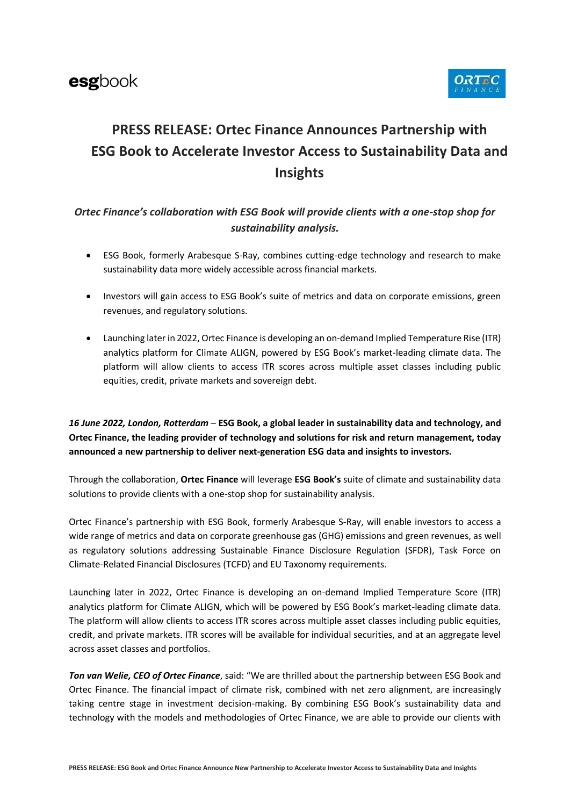

# **PRESS RELEASE: Ortec Finance Announces Partnership with ESG Book to Accelerate Investor Access to Sustainability Data and Insights**

## *Ortec Finance's collaboration with ESG Book will provide clients with a one-stop shop for sustainability analysis.*

- ESG Book, formerly Arabesque S-Ray, combines cutting-edge technology and research to make sustainability data more widely accessible across financial markets.
- Investors will gain access to ESG Book's suite of metrics and data on corporate emissions, green revenues, and regulatory solutions.
- Launching later in 2022, Ortec Finance is developing an on-demand Implied Temperature Rise (ITR) analytics platform for Climate ALIGN, powered by ESG Book's market-leading climate data. The platform will allow clients to access ITR scores across multiple asset classes including public equities, credit, private markets and sovereign debt.

*16 June 2022, London, Rotterdam* – **ESG Book, a global leader in sustainability data and technology, and Ortec Finance, the leading provider of technology and solutions for risk and return management, today announced a new partnership to deliver next-generation ESG data and insights to investors.**

Through the collaboration, **Ortec Finance** will leverage **ESG Book's** suite of climate and sustainability data solutions to provide clients with a one-stop shop for sustainability analysis.

Ortec Finance's partnership with ESG Book, formerly Arabesque S-Ray, will enable investors to access a wide range of metrics and data on corporate greenhouse gas (GHG) emissions and green revenues, as well as regulatory solutions addressing Sustainable Finance Disclosure Regulation (SFDR), Task Force on Climate-Related Financial Disclosures (TCFD) and EU Taxonomy requirements.

Launching later in 2022, Ortec Finance is developing an on-demand Implied Temperature Score (ITR) analytics platform for Climate ALIGN, which will be powered by ESG Book's market-leading climate data. The platform will allow clients to access ITR scores across multiple asset classes including public equities, credit, and private markets. ITR scores will be available for individual securities, and at an aggregate level across asset classes and portfolios.

*Ton van Welie, CEO of Ortec Finance*, said: "We are thrilled about the partnership between ESG Book and Ortec Finance. The financial impact of climate risk, combined with net zero alignment, are increasingly taking centre stage in investment decision-making. By combining ESG Book's sustainability data and technology with the models and methodologies of Ortec Finance, we are able to provide our clients with